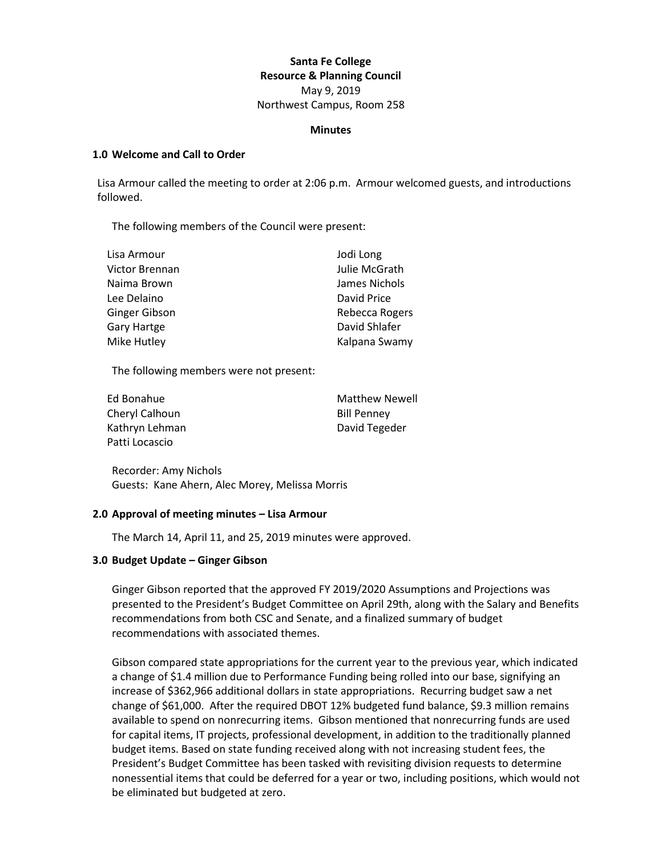## **Santa Fe College Resource & Planning Council** May 9, 2019 Northwest Campus, Room 258

#### **Minutes**

### **1.0 Welcome and Call to Order**

Lisa Armour called the meeting to order at 2:06 p.m. Armour welcomed guests, and introductions followed.

The following members of the Council were present:

| Jodi Long      |
|----------------|
| Julie McGrath  |
| James Nichols  |
| David Price    |
| Rebecca Rogers |
| David Shlafer  |
| Kalpana Swamy  |
|                |

The following members were not present:

| Ed Bonahue     | <b>Matthew Newell</b> |
|----------------|-----------------------|
| Cheryl Calhoun | <b>Bill Penney</b>    |
| Kathryn Lehman | David Tegeder         |
| Patti Locascio |                       |

Recorder: Amy Nichols Guests: Kane Ahern, Alec Morey, Melissa Morris

## **2.0 Approval of meeting minutes – Lisa Armour**

The March 14, April 11, and 25, 2019 minutes were approved.

#### **3.0 Budget Update – Ginger Gibson**

Ginger Gibson reported that the approved FY 2019/2020 Assumptions and Projections was presented to the President's Budget Committee on April 29th, along with the Salary and Benefits recommendations from both CSC and Senate, and a finalized summary of budget recommendations with associated themes.

Gibson compared state appropriations for the current year to the previous year, which indicated a change of \$1.4 million due to Performance Funding being rolled into our base, signifying an increase of \$362,966 additional dollars in state appropriations. Recurring budget saw a net change of \$61,000. After the required DBOT 12% budgeted fund balance, \$9.3 million remains available to spend on nonrecurring items. Gibson mentioned that nonrecurring funds are used for capital items, IT projects, professional development, in addition to the traditionally planned budget items. Based on state funding received along with not increasing student fees, the President's Budget Committee has been tasked with revisiting division requests to determine nonessential items that could be deferred for a year or two, including positions, which would not be eliminated but budgeted at zero.